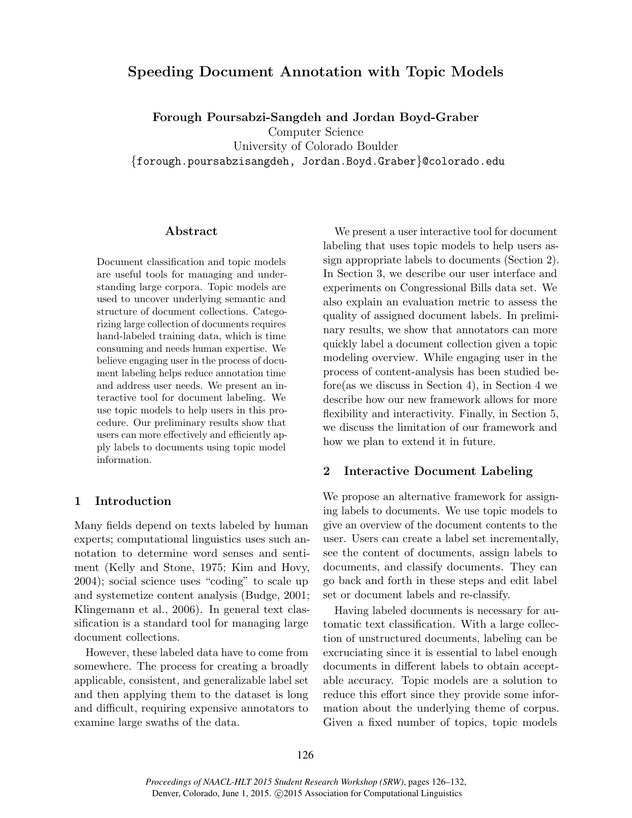# Speeding Document Annotation with Topic Models

Forough Poursabzi-Sangdeh and Jordan Boyd-Graber Computer Science University of Colorado Boulder {forough.poursabzisangdeh, Jordan.Boyd.Graber}@colorado.edu

### Abstract

Document classification and topic models are useful tools for managing and understanding large corpora. Topic models are used to uncover underlying semantic and structure of document collections. Categorizing large collection of documents requires hand-labeled training data, which is time consuming and needs human expertise. We believe engaging user in the process of document labeling helps reduce annotation time and address user needs. We present an interactive tool for document labeling. We use topic models to help users in this procedure. Our preliminary results show that users can more effectively and efficiently apply labels to documents using topic model information.

### 1 Introduction

Many fields depend on texts labeled by human experts; computational linguistics uses such annotation to determine word senses and sentiment (Kelly and Stone, 1975; Kim and Hovy, 2004); social science uses "coding" to scale up and systemetize content analysis (Budge, 2001; Klingemann et al., 2006). In general text classification is a standard tool for managing large document collections.

However, these labeled data have to come from somewhere. The process for creating a broadly applicable, consistent, and generalizable label set and then applying them to the dataset is long and difficult, requiring expensive annotators to examine large swaths of the data.

We present a user interactive tool for document labeling that uses topic models to help users assign appropriate labels to documents (Section 2). In Section 3, we describe our user interface and experiments on Congressional Bills data set. We also explain an evaluation metric to assess the quality of assigned document labels. In preliminary results, we show that annotators can more quickly label a document collection given a topic modeling overview. While engaging user in the process of content-analysis has been studied before(as we discuss in Section 4), in Section 4 we describe how our new framework allows for more flexibility and interactivity. Finally, in Section 5, we discuss the limitation of our framework and how we plan to extend it in future.

## 2 Interactive Document Labeling

We propose an alternative framework for assigning labels to documents. We use topic models to give an overview of the document contents to the user. Users can create a label set incrementally, see the content of documents, assign labels to documents, and classify documents. They can go back and forth in these steps and edit label set or document labels and re-classify.

Having labeled documents is necessary for automatic text classification. With a large collection of unstructured documents, labeling can be excruciating since it is essential to label enough documents in different labels to obtain acceptable accuracy. Topic models are a solution to reduce this effort since they provide some information about the underlying theme of corpus. Given a fixed number of topics, topic models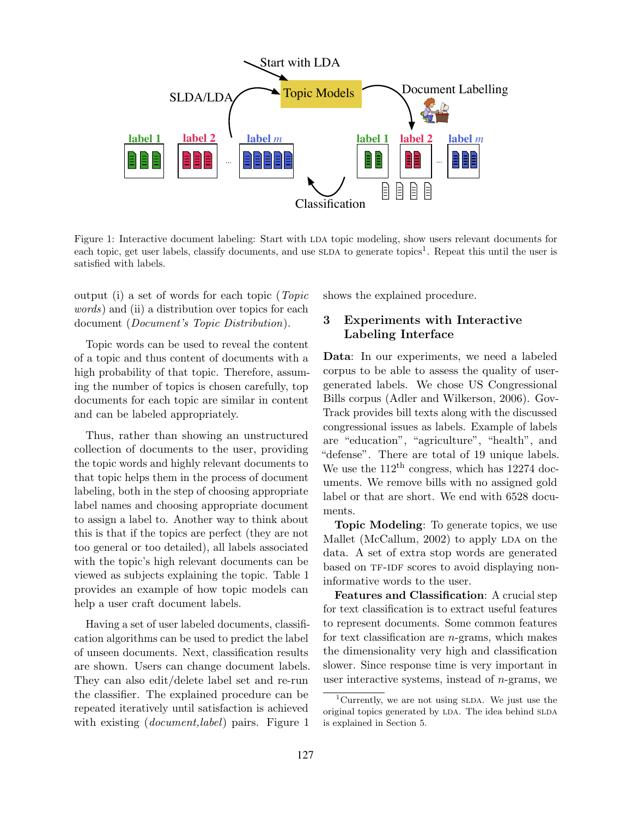

Figure 1: Interactive document labeling: Start with LDA topic modeling, show users relevant documents for each topic, get user labels, classify documents, and use SLDA to generate topics<sup>1</sup>. Repeat this until the user is satisfied with labels.

output (i) a set of words for each topic (Topic words) and (ii) a distribution over topics for each document (*Document's Topic Distribution*).

Topic words can be used to reveal the content of a topic and thus content of documents with a high probability of that topic. Therefore, assuming the number of topics is chosen carefully, top documents for each topic are similar in content and can be labeled appropriately.

Thus, rather than showing an unstructured collection of documents to the user, providing the topic words and highly relevant documents to that topic helps them in the process of document labeling, both in the step of choosing appropriate label names and choosing appropriate document to assign a label to. Another way to think about this is that if the topics are perfect (they are not too general or too detailed), all labels associated with the topic's high relevant documents can be viewed as subjects explaining the topic. Table 1 provides an example of how topic models can help a user craft document labels.

Having a set of user labeled documents, classification algorithms can be used to predict the label of unseen documents. Next, classification results are shown. Users can change document labels. They can also edit/delete label set and re-run the classifier. The explained procedure can be repeated iteratively until satisfaction is achieved with existing *(document, label)* pairs. Figure 1

shows the explained procedure.

# 3 Experiments with Interactive Labeling Interface

Data: In our experiments, we need a labeled corpus to be able to assess the quality of usergenerated labels. We chose US Congressional Bills corpus (Adler and Wilkerson, 2006). Gov-Track provides bill texts along with the discussed congressional issues as labels. Example of labels are "education", "agriculture", "health", and "defense". There are total of 19 unique labels. We use the  $112<sup>th</sup>$  congress, which has 12274 documents. We remove bills with no assigned gold label or that are short. We end with 6528 documents.

Topic Modeling: To generate topics, we use Mallet (McCallum,  $2002$ ) to apply LDA on the data. A set of extra stop words are generated based on TF-IDF scores to avoid displaying noninformative words to the user.

Features and Classification: A crucial step for text classification is to extract useful features to represent documents. Some common features for text classification are  $n$ -grams, which makes the dimensionality very high and classification slower. Since response time is very important in user interactive systems, instead of  $n$ -grams, we

<sup>&</sup>lt;sup>1</sup>Currently, we are not using  $SLDA$ . We just use the original topics generated by LDA. The idea behind SLDA is explained in Section 5.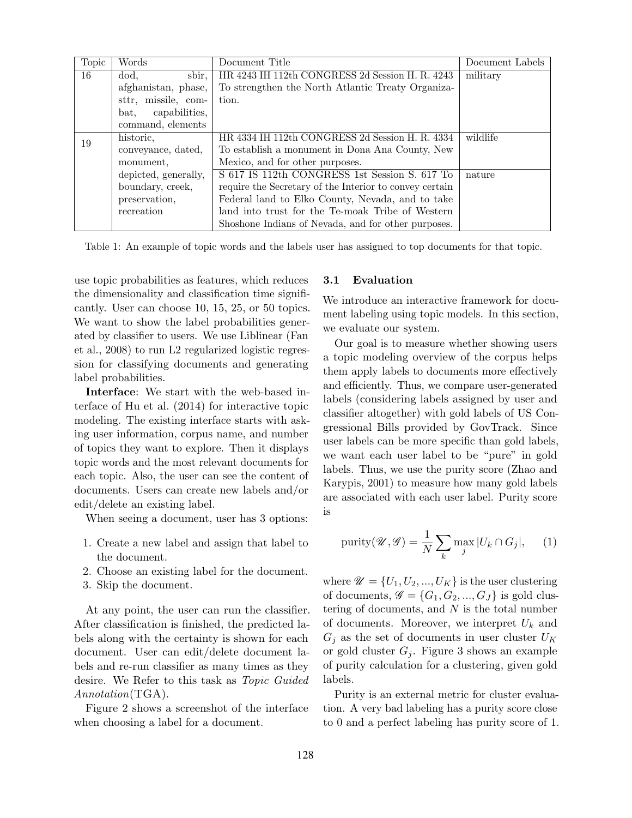| Topic | Words                 | Document Title                                          | Document Labels |
|-------|-----------------------|---------------------------------------------------------|-----------------|
| 16    | dod,<br>sbir,         | HR 4243 IH 112th CONGRESS 2d Session H. R. 4243         | military        |
|       | afghanistan, phase,   | To strengthen the North Atlantic Treaty Organiza-       |                 |
|       | sttr, missile, com-   | tion.                                                   |                 |
|       | capabilities,<br>bat. |                                                         |                 |
|       | command, elements     |                                                         |                 |
| 19    | historic,             | HR 4334 IH 112th CONGRESS 2d Session H. R. 4334         | wildlife        |
|       | conveyance, dated,    | To establish a monument in Dona Ana County, New         |                 |
|       | monument.             | Mexico, and for other purposes.                         |                 |
|       | depicted, generally,  | S 617 IS 112th CONGRESS 1st Session S, 617 To           | nature          |
|       | boundary, creek,      | require the Secretary of the Interior to convey certain |                 |
|       | preservation,         | Federal land to Elko County, Nevada, and to take        |                 |
|       | recreation            | land into trust for the Te-moak Tribe of Western        |                 |
|       |                       | Shoshone Indians of Nevada, and for other purposes.     |                 |

Table 1: An example of topic words and the labels user has assigned to top documents for that topic.

use topic probabilities as features, which reduces the dimensionality and classification time significantly. User can choose 10, 15, 25, or 50 topics. We want to show the label probabilities generated by classifier to users. We use Liblinear (Fan et al., 2008) to run L2 regularized logistic regression for classifying documents and generating label probabilities.

Interface: We start with the web-based interface of Hu et al. (2014) for interactive topic modeling. The existing interface starts with asking user information, corpus name, and number of topics they want to explore. Then it displays topic words and the most relevant documents for each topic. Also, the user can see the content of documents. Users can create new labels and/or edit/delete an existing label.

When seeing a document, user has 3 options:

- 1. Create a new label and assign that label to the document.
- 2. Choose an existing label for the document.
- 3. Skip the document.

At any point, the user can run the classifier. After classification is finished, the predicted labels along with the certainty is shown for each document. User can edit/delete document labels and re-run classifier as many times as they desire. We Refer to this task as Topic Guided Annotation(TGA).

Figure 2 shows a screenshot of the interface when choosing a label for a document.

#### 3.1 Evaluation

We introduce an interactive framework for document labeling using topic models. In this section, we evaluate our system.

Our goal is to measure whether showing users a topic modeling overview of the corpus helps them apply labels to documents more effectively and efficiently. Thus, we compare user-generated labels (considering labels assigned by user and classifier altogether) with gold labels of US Congressional Bills provided by GovTrack. Since user labels can be more specific than gold labels, we want each user label to be "pure" in gold labels. Thus, we use the purity score (Zhao and Karypis, 2001) to measure how many gold labels are associated with each user label. Purity score is

$$
\text{purity}(\mathscr{U}, \mathscr{G}) = \frac{1}{N} \sum_{k} \max_{j} |U_k \cap G_j|, \quad (1)
$$

where  $\mathscr{U} = \{U_1, U_2, ..., U_K\}$  is the user clustering of documents,  $\mathscr{G} = \{G_1, G_2, ..., G_J\}$  is gold clustering of documents, and  $N$  is the total number of documents. Moreover, we interpret  $U_k$  and  $G_j$  as the set of documents in user cluster  $U_K$ or gold cluster  $G_j$ . Figure 3 shows an example of purity calculation for a clustering, given gold labels.

Purity is an external metric for cluster evaluation. A very bad labeling has a purity score close to 0 and a perfect labeling has purity score of 1.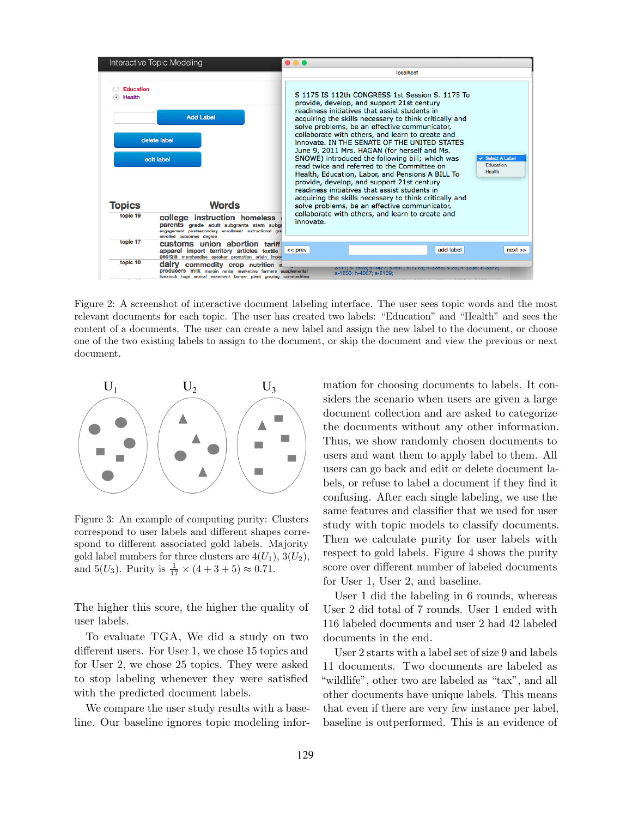

Figure 2: A screenshot of interactive document labeling interface. The user sees topic words and the most relevant documents for each topic. The user has created two labels: "Education" and "Health" and sees the content of a documents. The user can create a new label and assign the new label to the document, or choose one of the two existing labels to assign to the document, or skip the document and view the previous or next document.



Figure 3: An example of computing purity: Clusters correspond to user labels and different shapes correspond to different associated gold labels. Majority gold label numbers for three clusters are  $4(U_1), 3(U_2),$ and  $5(U_3)$ . Purity is  $\frac{1}{17} \times (4 + 3 + 5) \approx 0.71$ .

The higher this score, the higher the quality of user labels.

To evaluate TGA, We did a study on two different users. For User 1, we chose 15 topics and for User 2, we chose 25 topics. They were asked to stop labeling whenever they were satisfied with the predicted document labels.

We compare the user study results with a baseline. Our baseline ignores topic modeling information for choosing documents to labels. It considers the scenario when users are given a large document collection and are asked to categorize the documents without any other information. Thus, we show randomly chosen documents to users and want them to apply label to them. All users can go back and edit or delete document labels, or refuse to label a document if they find it confusing. After each single labeling, we use the same features and classifier that we used for user study with topic models to classify documents. Then we calculate purity for user labels with respect to gold labels. Figure 4 shows the purity score over different number of labeled documents for User 1, User 2, and baseline.

User 1 did the labeling in 6 rounds, whereas User 2 did total of 7 rounds. User 1 ended with 116 labeled documents and user 2 had 42 labeled documents in the end.

User 2 starts with a label set of size 9 and labels 11 documents. Two documents are labeled as "wildlife", other two are labeled as "tax", and all other documents have unique labels. This means that even if there are very few instance per label, baseline is outperformed. This is an evidence of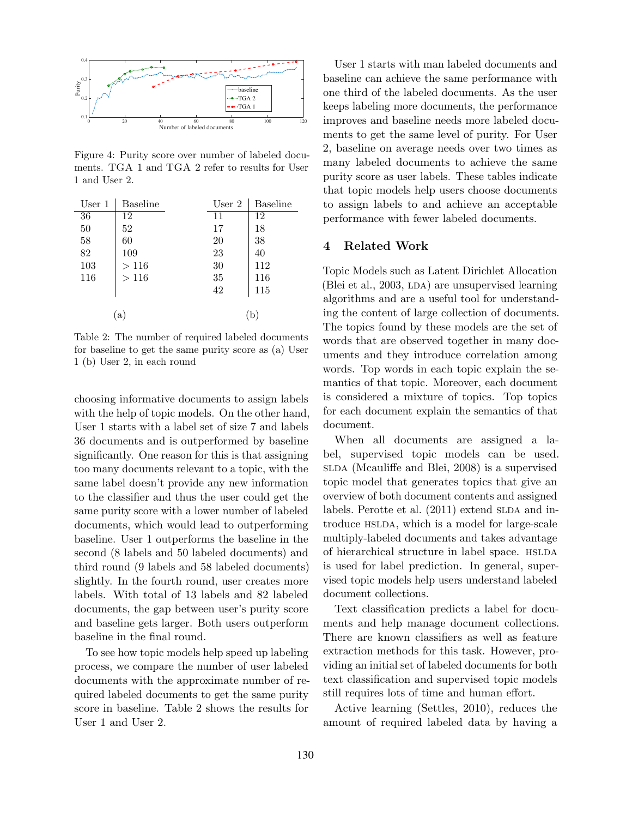

Figure 4: Purity score over number of labeled documents. TGA 1 and TGA 2 refer to results for User 1 and User 2.

| User <sub>1</sub> | Baseline | User 2 | <b>Baseline</b> |
|-------------------|----------|--------|-----------------|
| 36                | 12       | 11     | 12              |
| $50\,$            | 52       | 17     | 18              |
| 58                | 60       | 20     | 38              |
| 82                | 109      | 23     | 40              |
| 103               | >116     | 30     | 112             |
| 116               | >116     | 35     | 116             |
|                   |          | 42     | 115             |
|                   |          |        |                 |
| a                 |          |        |                 |

Table 2: The number of required labeled documents for baseline to get the same purity score as (a) User 1 (b) User 2, in each round

choosing informative documents to assign labels with the help of topic models. On the other hand, User 1 starts with a label set of size 7 and labels 36 documents and is outperformed by baseline significantly. One reason for this is that assigning too many documents relevant to a topic, with the same label doesn't provide any new information to the classifier and thus the user could get the same purity score with a lower number of labeled documents, which would lead to outperforming baseline. User 1 outperforms the baseline in the second (8 labels and 50 labeled documents) and third round (9 labels and 58 labeled documents) slightly. In the fourth round, user creates more labels. With total of 13 labels and 82 labeled documents, the gap between user's purity score and baseline gets larger. Both users outperform baseline in the final round.

To see how topic models help speed up labeling process, we compare the number of user labeled documents with the approximate number of required labeled documents to get the same purity score in baseline. Table 2 shows the results for User 1 and User 2.

User 1 starts with man labeled documents and baseline can achieve the same performance with one third of the labeled documents. As the user keeps labeling more documents, the performance improves and baseline needs more labeled documents to get the same level of purity. For User 2, baseline on average needs over two times as many labeled documents to achieve the same purity score as user labels. These tables indicate that topic models help users choose documents to assign labels to and achieve an acceptable performance with fewer labeled documents.

### 4 Related Work

Topic Models such as Latent Dirichlet Allocation (Blei et al.,  $2003$ , LDA) are unsupervised learning algorithms and are a useful tool for understanding the content of large collection of documents. The topics found by these models are the set of words that are observed together in many documents and they introduce correlation among words. Top words in each topic explain the semantics of that topic. Moreover, each document is considered a mixture of topics. Top topics for each document explain the semantics of that document.

When all documents are assigned a label, supervised topic models can be used. slda (Mcauliffe and Blei, 2008) is a supervised topic model that generates topics that give an overview of both document contents and assigned labels. Perotte et al.  $(2011)$  extend SLDA and introduce HSLDA, which is a model for large-scale multiply-labeled documents and takes advantage of hierarchical structure in label space. HSLDA is used for label prediction. In general, supervised topic models help users understand labeled document collections.

Text classification predicts a label for documents and help manage document collections. There are known classifiers as well as feature extraction methods for this task. However, providing an initial set of labeled documents for both text classification and supervised topic models still requires lots of time and human effort.

Active learning (Settles, 2010), reduces the amount of required labeled data by having a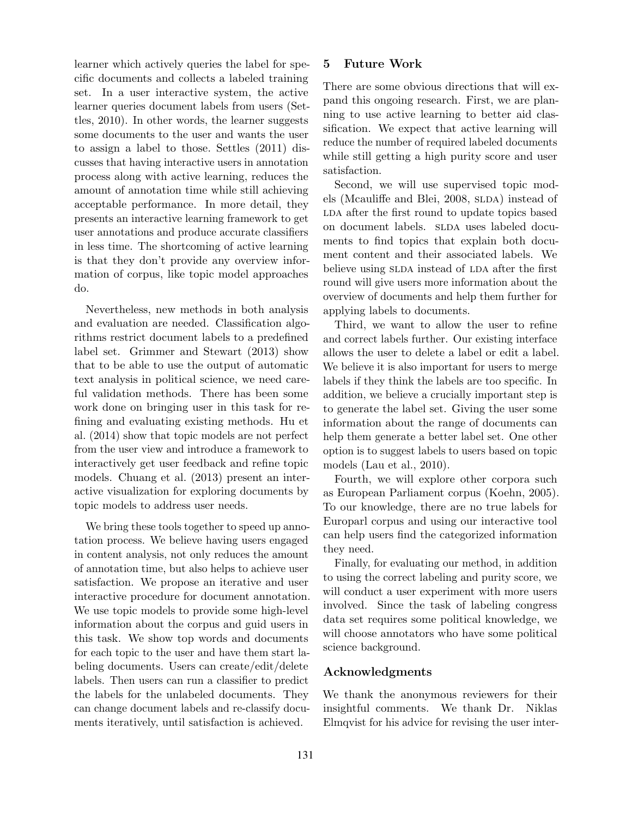learner which actively queries the label for specific documents and collects a labeled training set. In a user interactive system, the active learner queries document labels from users (Settles, 2010). In other words, the learner suggests some documents to the user and wants the user to assign a label to those. Settles (2011) discusses that having interactive users in annotation process along with active learning, reduces the amount of annotation time while still achieving acceptable performance. In more detail, they presents an interactive learning framework to get user annotations and produce accurate classifiers in less time. The shortcoming of active learning is that they don't provide any overview information of corpus, like topic model approaches do.

Nevertheless, new methods in both analysis and evaluation are needed. Classification algorithms restrict document labels to a predefined label set. Grimmer and Stewart (2013) show that to be able to use the output of automatic text analysis in political science, we need careful validation methods. There has been some work done on bringing user in this task for refining and evaluating existing methods. Hu et al. (2014) show that topic models are not perfect from the user view and introduce a framework to interactively get user feedback and refine topic models. Chuang et al. (2013) present an interactive visualization for exploring documents by topic models to address user needs.

We bring these tools together to speed up annotation process. We believe having users engaged in content analysis, not only reduces the amount of annotation time, but also helps to achieve user satisfaction. We propose an iterative and user interactive procedure for document annotation. We use topic models to provide some high-level information about the corpus and guid users in this task. We show top words and documents for each topic to the user and have them start labeling documents. Users can create/edit/delete labels. Then users can run a classifier to predict the labels for the unlabeled documents. They can change document labels and re-classify documents iteratively, until satisfaction is achieved.

## 5 Future Work

There are some obvious directions that will expand this ongoing research. First, we are planning to use active learning to better aid classification. We expect that active learning will reduce the number of required labeled documents while still getting a high purity score and user satisfaction.

Second, we will use supervised topic models (Mcauliffe and Blei,  $2008$ ,  $SLDA$ ) instead of LDA after the first round to update topics based on document labels. SLDA uses labeled documents to find topics that explain both document content and their associated labels. We believe using SLDA instead of LDA after the first round will give users more information about the overview of documents and help them further for applying labels to documents.

Third, we want to allow the user to refine and correct labels further. Our existing interface allows the user to delete a label or edit a label. We believe it is also important for users to merge labels if they think the labels are too specific. In addition, we believe a crucially important step is to generate the label set. Giving the user some information about the range of documents can help them generate a better label set. One other option is to suggest labels to users based on topic models (Lau et al., 2010).

Fourth, we will explore other corpora such as European Parliament corpus (Koehn, 2005). To our knowledge, there are no true labels for Europarl corpus and using our interactive tool can help users find the categorized information they need.

Finally, for evaluating our method, in addition to using the correct labeling and purity score, we will conduct a user experiment with more users involved. Since the task of labeling congress data set requires some political knowledge, we will choose annotators who have some political science background.

## Acknowledgments

We thank the anonymous reviewers for their insightful comments. We thank Dr. Niklas Elmqvist for his advice for revising the user inter